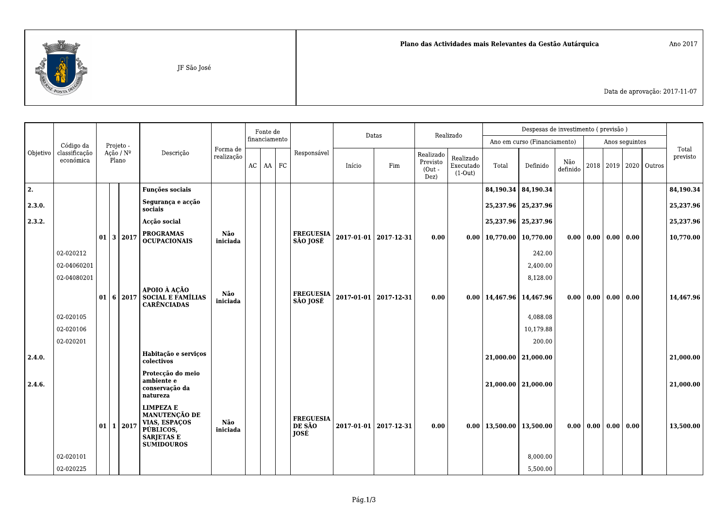

Data de aprovação: 2017-11-07

|          |                            | Projeto -       |                    |               |                                                                                                                  |                        | Fonte de<br>financiamento |             |        |                                    | Datas                                     |                                     | Realizado |          | Despesas de investimento (previsão) |                              |  |                |                                      |                           |  |           |
|----------|----------------------------|-----------------|--------------------|---------------|------------------------------------------------------------------------------------------------------------------|------------------------|---------------------------|-------------|--------|------------------------------------|-------------------------------------------|-------------------------------------|-----------|----------|-------------------------------------|------------------------------|--|----------------|--------------------------------------|---------------------------|--|-----------|
|          | Código da                  |                 |                    |               |                                                                                                                  |                        |                           |             |        |                                    |                                           |                                     |           |          |                                     | Ano em curso (Financiamento) |  | Anos seguintes |                                      |                           |  | Total     |
| Objetivo | classificação<br>económica |                 | Ação / Nº<br>Plano |               | Descrição                                                                                                        | Forma de<br>realização | $AC$ $AA$ $FC$            | Responsável | Início | Fim                                | Realizado<br>Previsto<br>$(Out -$<br>Dez) | Realizado<br>Executado<br>$(1-Out)$ | Total     | Definido | Não<br>definido                     |                              |  |                | 2018   2019   2020   Outros          | previsto                  |  |           |
| 2.       |                            |                 |                    |               | <b>Funções sociais</b>                                                                                           |                        |                           |             |        |                                    |                                           |                                     |           |          |                                     | 84,190.34   84,190.34        |  |                |                                      |                           |  | 84,190.34 |
| 2.3.0.   |                            |                 |                    |               | Segurança e acção<br>sociais                                                                                     |                        |                           |             |        |                                    |                                           |                                     |           |          |                                     | 25,237.96   25,237.96        |  |                |                                      |                           |  | 25,237.96 |
| 2.3.2.   |                            |                 | 3 2017             |               | Accão social                                                                                                     |                        |                           |             |        |                                    |                                           |                                     |           |          |                                     | 25,237.96   25,237.96        |  |                |                                      |                           |  | 25,237.96 |
|          |                            | 01              |                    |               | <b>PROGRAMAS</b><br><b>OCUPACIONAIS</b>                                                                          | Não<br>iniciada        |                           |             |        | <b>FREGUESIA</b><br>SÃO JOSÉ       | 2017-01-01 2017-12-31                     |                                     | 0.00      |          | $0.00$   10,770.00   10,770.00      |                              |  |                | $0.00 \mid 0.00 \mid 0.00 \mid 0.00$ |                           |  | 10,770.00 |
|          | 02-020212                  |                 |                    |               |                                                                                                                  |                        |                           |             |        |                                    |                                           |                                     |           |          |                                     | 242.00                       |  |                |                                      |                           |  |           |
|          | 02-04060201                |                 |                    |               |                                                                                                                  |                        |                           |             |        |                                    |                                           |                                     |           |          |                                     | 2,400.00                     |  |                |                                      |                           |  |           |
|          | 02-04080201                |                 |                    |               |                                                                                                                  |                        |                           |             |        |                                    |                                           |                                     |           |          |                                     | 8,128.00                     |  |                |                                      |                           |  |           |
|          |                            | 01 <sup>1</sup> |                    | 6 2017        | APOIO À AÇÃO<br>SOCIAL E FAMÍLIAS<br><b>CARÊNCIADAS</b>                                                          | Não<br>iniciada        |                           |             |        | <b>FREGUESIA</b><br>SÃO JOSÉ       |                                           | 2017-01-01 2017-12-31               | 0.00      |          | $0.00$   14,467.96   14,467.96      |                              |  |                |                                      | 0.00   0.00   0.00   0.00 |  | 14,467.96 |
|          | 02-020105                  |                 |                    |               |                                                                                                                  |                        |                           |             |        |                                    |                                           |                                     |           |          |                                     | 4,088.08                     |  |                |                                      |                           |  |           |
|          | 02-020106                  |                 |                    |               |                                                                                                                  |                        |                           |             |        |                                    |                                           |                                     |           |          |                                     | 10,179.88                    |  |                |                                      |                           |  |           |
|          | 02-020201                  |                 |                    |               |                                                                                                                  |                        |                           |             |        |                                    |                                           |                                     |           |          |                                     | 200.00                       |  |                |                                      |                           |  |           |
| 2.4.0.   |                            |                 |                    |               | Habitação e serviços<br>colectivos                                                                               |                        |                           |             |        |                                    |                                           |                                     |           |          |                                     | $21,000.00$   21,000.00      |  |                |                                      |                           |  | 21,000.00 |
| 2.4.6.   |                            |                 |                    |               | Protecção do meio<br>ambiente e<br>conservação da<br>natureza                                                    |                        |                           |             |        |                                    |                                           |                                     |           |          |                                     | $21,000.00$   21,000.00      |  |                |                                      |                           |  | 21,000.00 |
|          |                            | 01              |                    | $1 \mid 2017$ | <b>LIMPEZA E</b><br><b>MANUTENÇÃO DE</b><br>VIAS, ESPAÇOS<br>PÚBLICOS,<br><b>SARJETAS E</b><br><b>SUMIDOUROS</b> | Não<br>iniciada        |                           |             |        | <b>FREGUESIA</b><br>DE SÃO<br>JOSÉ | 2017-01-01 2017-12-31                     |                                     | 0.00      |          | $0.00$   13,500.00   13,500.00      |                              |  |                | $0.00 \mid 0.00 \mid 0.00 \mid 0.00$ |                           |  | 13,500.00 |
|          | 02-020101                  |                 |                    |               |                                                                                                                  |                        |                           |             |        |                                    |                                           |                                     |           |          |                                     | 8,000.00                     |  |                |                                      |                           |  |           |
|          | 02-020225                  |                 |                    |               |                                                                                                                  |                        |                           |             |        |                                    |                                           |                                     |           |          |                                     | 5,500.00                     |  |                |                                      |                           |  |           |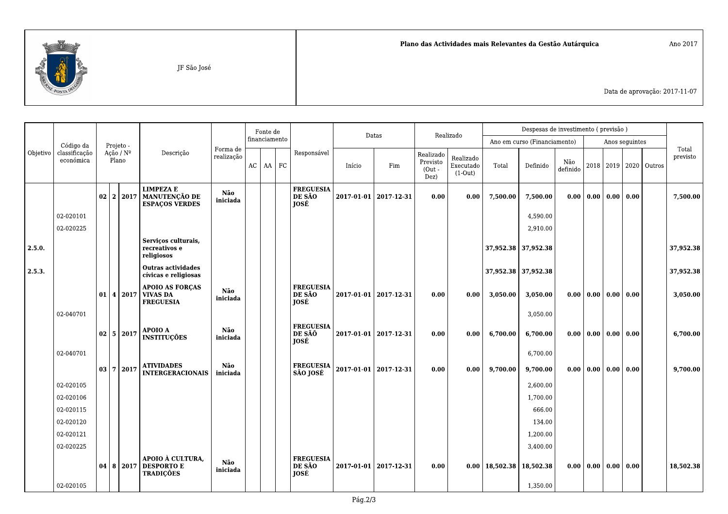

Data de aprovação: 2017-11-07

|                |                            |                             |           |           |                                                                     | Fonte de        |               |             |               | Datas                                     |                                           | Realizado                           |       | Despesas de investimento (previsão) |                 |                              |                    |                |                                 |                   |  |           |
|----------------|----------------------------|-----------------------------|-----------|-----------|---------------------------------------------------------------------|-----------------|---------------|-------------|---------------|-------------------------------------------|-------------------------------------------|-------------------------------------|-------|-------------------------------------|-----------------|------------------------------|--------------------|----------------|---------------------------------|-------------------|--|-----------|
|                | Código da                  |                             | Projeto - |           |                                                                     |                 |               |             | financiamento |                                           |                                           |                                     |       |                                     |                 | Ano em curso (Financiamento) |                    | Anos seguintes |                                 |                   |  |           |
| Objetivo       | classificação<br>económica | Ação / $N^{\circ}$<br>Plano |           | Descrição | Forma de<br>realização                                              |                 | AC<br>$AA$ FC | Responsável | Início        | Fim                                       | Realizado<br>Previsto<br>$(Out -$<br>Dez) | Realizado<br>Executado<br>$(1-Out)$ | Total | Definido                            | Não<br>definido |                              | 2018   2019   2020 |                | Outros                          | Total<br>previsto |  |           |
|                |                            | 02                          |           | 2 2017    | <b>LIMPEZA E</b><br><b>MANUTENÇÃO DE</b><br><b>ESPACOS VERDES</b>   | Não<br>iniciada |               |             |               | <b>FREGUESIA</b><br>DE SÃO<br>JOSÉ        |                                           | 2017-01-01   2017-12-31             | 0.00  | 0.00                                | 7,500.00        | 7,500.00                     | 0.00               |                | 0.00 0.00 0.00                  |                   |  | 7,500.00  |
|                | 02-020101                  |                             |           |           |                                                                     |                 |               |             |               |                                           |                                           |                                     |       |                                     |                 | 4,590.00                     |                    |                |                                 |                   |  |           |
|                | 02-020225                  |                             |           |           |                                                                     |                 |               |             |               |                                           |                                           |                                     |       |                                     |                 | 2,910.00                     |                    |                |                                 |                   |  |           |
| $\vert$ 2.5.0. |                            |                             |           |           | Serviços culturais,<br>recreativos e<br>religiosos                  |                 |               |             |               |                                           |                                           |                                     |       |                                     |                 | 37,952.38 37,952.38          |                    |                |                                 |                   |  | 37,952.38 |
| 2.5.3.         |                            |                             |           |           | <b>Outras actividades</b><br>cívicas e religiosas                   |                 |               |             |               |                                           |                                           |                                     |       |                                     |                 | 37,952.38 37,952.38          |                    |                |                                 |                   |  | 37,952.38 |
|                | 02-040701                  | 01                          |           |           | <b>APOIO AS FORCAS</b><br>  4   2017   VIVAS DA<br><b>FREGUESIA</b> | Não<br>iniciada |               |             |               | <b>FREGUESIA</b><br>DE SÃO<br><b>JOSÉ</b> |                                           | 2017-01-01 2017-12-31               | 0.00  | 0.00                                | 3,050.00        | 3,050.00                     | 0.00               | 0.00           | 0.00 0.00                       |                   |  | 3,050.00  |
|                |                            |                             |           |           |                                                                     |                 |               |             |               |                                           |                                           |                                     |       |                                     |                 | 3,050.00                     |                    |                |                                 |                   |  |           |
|                |                            | $02 \mid 5 \mid 2017$       |           |           | APOIO A<br><b>INSTITUÇÕES</b>                                       | Não<br>iniciada |               |             |               | <b>FREGUESIA</b><br>DE SÃÕ<br>JOSÉ        |                                           | 2017-01-01   2017-12-31             | 0.00  | 0.00                                | 6,700.00        | 6,700.00                     | 0.00               |                | $0.00$ $0.00$ $0.00$            |                   |  | 6,700.00  |
|                | 02-040701                  |                             |           |           |                                                                     |                 |               |             |               |                                           |                                           |                                     |       |                                     |                 | 6,700.00                     |                    |                |                                 |                   |  |           |
|                |                            | $\mid 03 \mid 7 \mid 2017$  |           |           | <b>ATIVIDADES</b><br><b>INTERGERACIONAIS</b>                        | Não<br>iniciada |               |             |               | <b>FREGUESIA</b><br>SÃO JOSÉ              |                                           | 2017-01-01 2017-12-31               | 0.00  | 0.00                                | 9,700.00        | 9,700.00                     | 0.00               |                | 0.00 0.00 0.00                  |                   |  | 9,700.00  |
|                | 02-020105                  |                             |           |           |                                                                     |                 |               |             |               |                                           |                                           |                                     |       |                                     |                 | 2,600.00                     |                    |                |                                 |                   |  |           |
|                | 02-020106                  |                             |           |           |                                                                     |                 |               |             |               |                                           |                                           |                                     |       |                                     |                 | 1,700.00                     |                    |                |                                 |                   |  |           |
|                | 02-020115                  |                             |           |           |                                                                     |                 |               |             |               |                                           |                                           |                                     |       |                                     |                 | 666.00                       |                    |                |                                 |                   |  |           |
|                | 02-020120                  |                             |           |           |                                                                     |                 |               |             |               |                                           |                                           |                                     |       |                                     |                 | 134.00                       |                    |                |                                 |                   |  |           |
|                | 02-020121                  |                             |           |           |                                                                     |                 |               |             |               |                                           |                                           |                                     |       |                                     |                 | 1,200.00                     |                    |                |                                 |                   |  |           |
|                | 02-020225                  |                             |           |           |                                                                     |                 |               |             |               |                                           |                                           |                                     |       |                                     |                 | 3,400.00                     |                    |                |                                 |                   |  |           |
|                |                            | 04   8   2017               |           |           | APOIO À CULTURA,<br><b>DESPORTO E</b><br><b>TRADIÇÕES</b>           | Não<br>iniciada |               |             |               | <b>FREGUESIA</b><br>DE SÃO<br>JOSÉ        |                                           | 2017-01-01 2017-12-31               | 0.00  | 0.00                                | 18,502.38       | 18,502.38                    | 0.00               |                | $\mid 0.00 \mid 0.00 \mid 0.00$ |                   |  | 18,502.38 |
|                | 02-020105                  |                             |           |           |                                                                     |                 |               |             |               |                                           |                                           |                                     |       |                                     |                 | 1,350.00                     |                    |                |                                 |                   |  |           |